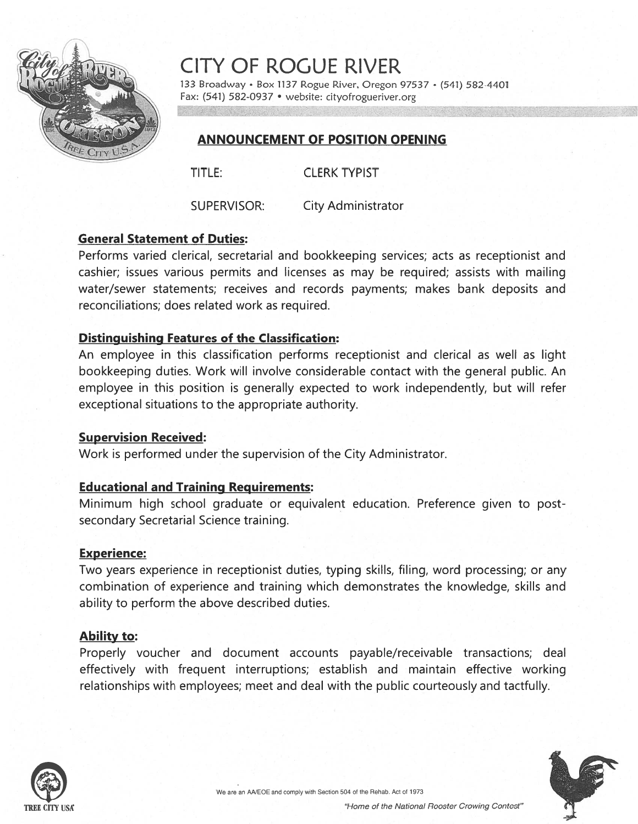

CiTY OF ROGUE RIVER

133 Broadway · Box 1137 Rogue River, Oregon 97537 · (541) 582-4401 Fax: (541) 582-0937 • website: cityofrogueriver.org

# ANNOUNCEMENT OF POSITION OPENING

TITLE: CLERK TYPIST

SUPERVISOR: City Administrator

# General Statement of Duties:

Performs varied clerical, secretarial and bookkeeping services; acts as receptionist and cashier; issues various permits and licenses as may be required; assists with mailing water/sewer statements; receives and records payments; makes bank deposits and reconciliations; does related work as required.

# Distinguishing Features of the Classification:

An employee in this classification performs receptionist and clerical as well as light bookkeeping duties. Work will involve considerable contact with the general public. An employee in this position is generally expected to work independently, but will refer exceptional situations to the appropriate authority.

### Supervision Received:

Work is performed under the supervision of the City Administrator.

# Educational and Training Requirements:

Minimum high school graduate or equivalent education. Preference given to postsecondary Secretarial Science training.

### Experience:

Two years experience in receptionist duties, typing skills, filing, word processing; or any combination of experience and training which demonstrates the knowledge, skills and ability to perform the above described duties.

# Ability to:

Properly voucher and document accounts payable/receivable transactions; deal effectively with frequent interruptions; establish and maintain effective working relationships with employees; meet and deal with the public courteously and tactfully.